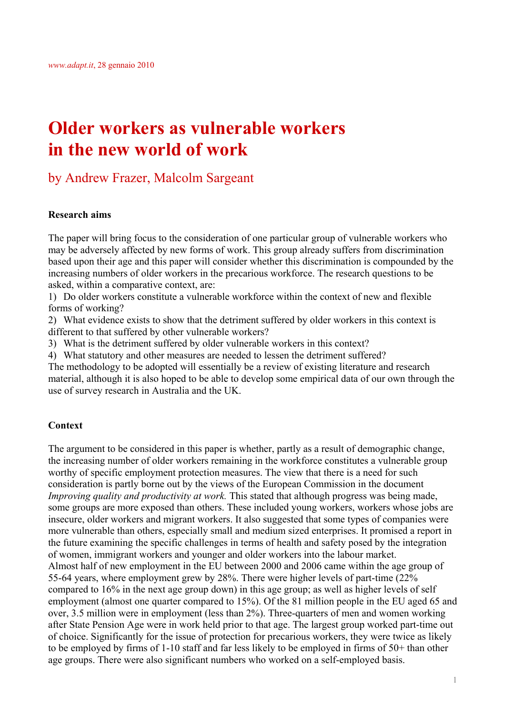# **Older workers as vulnerable workers in the new world of work**

by Andrew Frazer, Malcolm Sargeant

## **Research aims**

The paper will bring focus to the consideration of one particular group of vulnerable workers who may be adversely affected by new forms of work. This group already suffers from discrimination based upon their age and this paper will consider whether this discrimination is compounded by the increasing numbers of older workers in the precarious workforce. The research questions to be asked, within a comparative context, are:

1) Do older workers constitute a vulnerable workforce within the context of new and flexible forms of working?

2) What evidence exists to show that the detriment suffered by older workers in this context is different to that suffered by other vulnerable workers?

3) What is the detriment suffered by older vulnerable workers in this context?

4) What statutory and other measures are needed to lessen the detriment suffered?

The methodology to be adopted will essentially be a review of existing literature and research material, although it is also hoped to be able to develop some empirical data of our own through the use of survey research in Australia and the UK.

## **Context**

The argument to be considered in this paper is whether, partly as a result of demographic change, the increasing number of older workers remaining in the workforce constitutes a vulnerable group worthy of specific employment protection measures. The view that there is a need for such consideration is partly borne out by the views of the European Commission in the document *Improving quality and productivity at work.* This stated that although progress was being made, some groups are more exposed than others. These included young workers, workers whose jobs are insecure, older workers and migrant workers. It also suggested that some types of companies were more vulnerable than others, especially small and medium sized enterprises. It promised a report in the future examining the specific challenges in terms of health and safety posed by the integration of women, immigrant workers and younger and older workers into the labour market. Almost half of new employment in the EU between 2000 and 2006 came within the age group of 55-64 years, where employment grew by 28%. There were higher levels of part-time (22% compared to 16% in the next age group down) in this age group; as well as higher levels of self employment (almost one quarter compared to 15%). Of the 81 million people in the EU aged 65 and over, 3.5 million were in employment (less than 2%). Three-quarters of men and women working after State Pension Age were in work held prior to that age. The largest group worked part-time out of choice. Significantly for the issue of protection for precarious workers, they were twice as likely to be employed by firms of 1-10 staff and far less likely to be employed in firms of 50+ than other age groups. There were also significant numbers who worked on a self-employed basis.